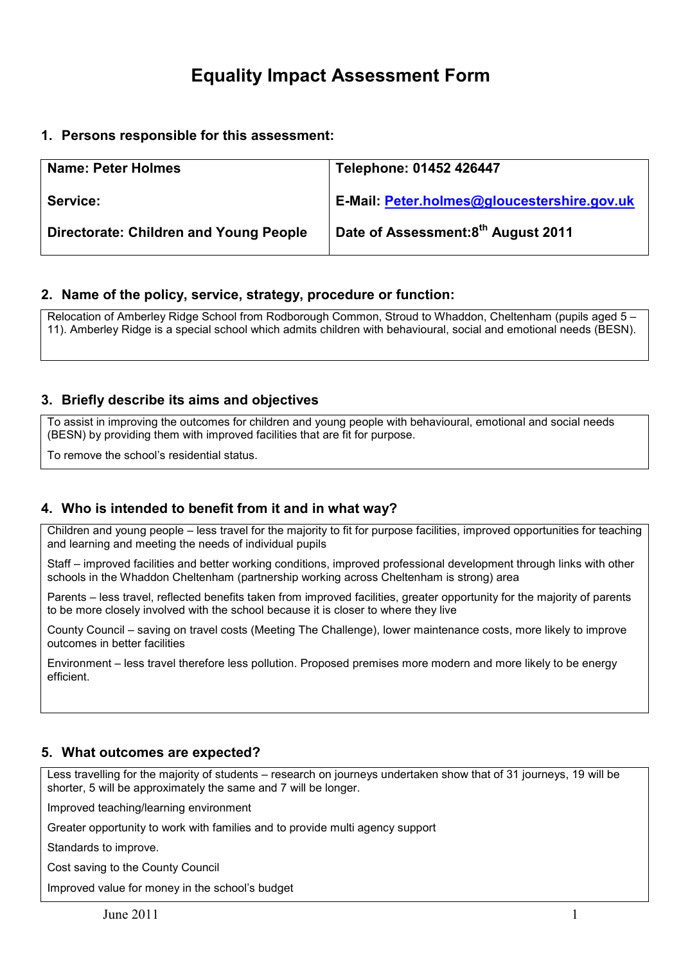# Equality Impact Assessment Form

## 1. Persons responsible for this assessment:

| <b>Name: Peter Holmes</b>                     | Telephone: 01452 426447                            |
|-----------------------------------------------|----------------------------------------------------|
| Service:                                      | <b>E-Mail: Peter.holmes@gloucestershire.gov.uk</b> |
| <b>Directorate: Children and Young People</b> | Date of Assessment:8 <sup>th</sup> August 2011     |

#### 2. Name of the policy, service, strategy, procedure or function:

Relocation of Amberley Ridge School from Rodborough Common, Stroud to Whaddon, Cheltenham (pupils aged 5 – 11). Amberley Ridge is a special school which admits children with behavioural, social and emotional needs (BESN).

## 3. Briefly describe its aims and objectives

To assist in improving the outcomes for children and young people with behavioural, emotional and social needs (BESN) by providing them with improved facilities that are fit for purpose.

To remove the school's residential status.

## 4. Who is intended to benefit from it and in what way?

Children and young people – less travel for the majority to fit for purpose facilities, improved opportunities for teaching and learning and meeting the needs of individual pupils

Staff – improved facilities and better working conditions, improved professional development through links with other schools in the Whaddon Cheltenham (partnership working across Cheltenham is strong) area

Parents – less travel, reflected benefits taken from improved facilities, greater opportunity for the majority of parents to be more closely involved with the school because it is closer to where they live

County Council – saving on travel costs (Meeting The Challenge), lower maintenance costs, more likely to improve outcomes in better facilities

Environment – less travel therefore less pollution. Proposed premises more modern and more likely to be energy efficient.

#### 5. What outcomes are expected?

Less travelling for the majority of students – research on journeys undertaken show that of 31 journeys, 19 will be shorter, 5 will be approximately the same and 7 will be longer.

Improved teaching/learning environment

Greater opportunity to work with families and to provide multi agency support

Standards to improve.

Cost saving to the County Council

Improved value for money in the school's budget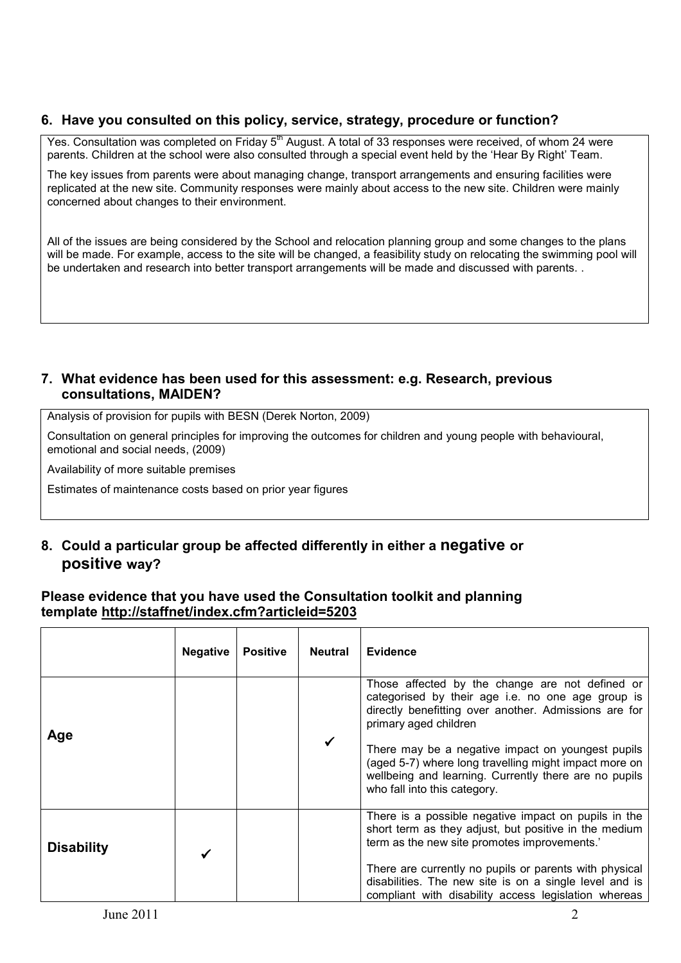## 6. Have you consulted on this policy, service, strategy, procedure or function?

Yes. Consultation was completed on Friday 5<sup>th</sup> August. A total of 33 responses were received, of whom 24 were parents. Children at the school were also consulted through a special event held by the 'Hear By Right' Team.

The key issues from parents were about managing change, transport arrangements and ensuring facilities were replicated at the new site. Community responses were mainly about access to the new site. Children were mainly concerned about changes to their environment.

All of the issues are being considered by the School and relocation planning group and some changes to the plans will be made. For example, access to the site will be changed, a feasibility study on relocating the swimming pool will be undertaken and research into better transport arrangements will be made and discussed with parents. .

## 7. What evidence has been used for this assessment: e.g. Research, previous consultations, MAIDEN?

Analysis of provision for pupils with BESN (Derek Norton, 2009)

Consultation on general principles for improving the outcomes for children and young people with behavioural, emotional and social needs, (2009)

Availability of more suitable premises

Estimates of maintenance costs based on prior year figures

# 8. Could a particular group be affected differently in either a negative or positive way?

## Please evidence that you have used the Consultation toolkit and planning template http://staffnet/index.cfm?articleid=5203

|                   | <b>Negative</b> | <b>Positive</b> | <b>Neutral</b> | <b>Evidence</b>                                                                                                                                                                                                                                                                                                                                                                               |
|-------------------|-----------------|-----------------|----------------|-----------------------------------------------------------------------------------------------------------------------------------------------------------------------------------------------------------------------------------------------------------------------------------------------------------------------------------------------------------------------------------------------|
| Age               |                 |                 |                | Those affected by the change are not defined or<br>categorised by their age i.e. no one age group is<br>directly benefitting over another. Admissions are for<br>primary aged children<br>There may be a negative impact on youngest pupils<br>(aged 5-7) where long travelling might impact more on<br>wellbeing and learning. Currently there are no pupils<br>who fall into this category. |
| <b>Disability</b> |                 |                 |                | There is a possible negative impact on pupils in the<br>short term as they adjust, but positive in the medium<br>term as the new site promotes improvements.'<br>There are currently no pupils or parents with physical<br>disabilities. The new site is on a single level and is<br>compliant with disability access legislation whereas                                                     |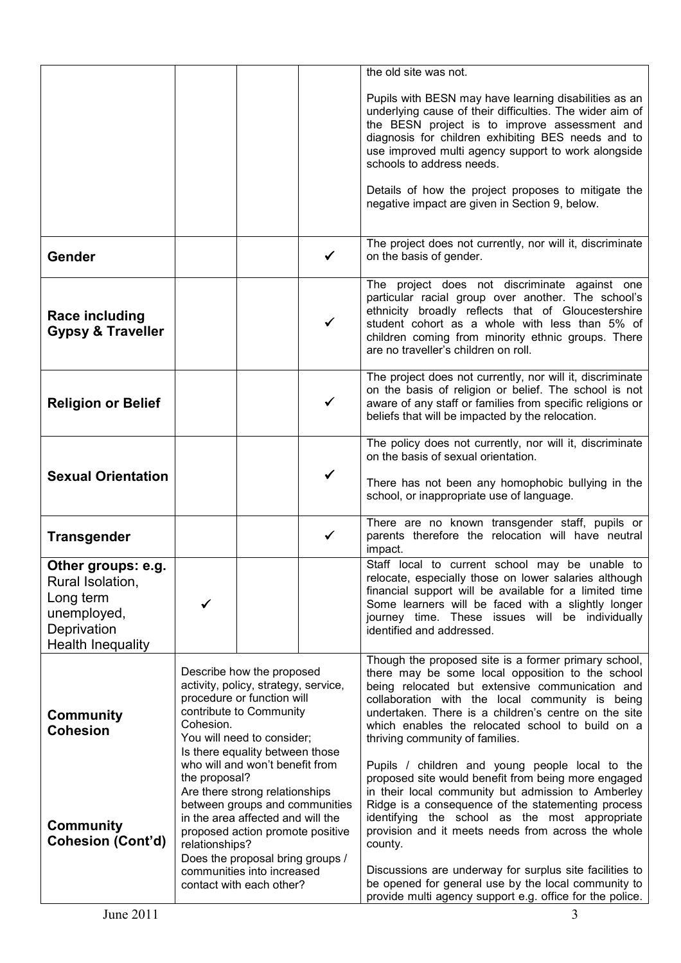|                                                                                                               |                                                                                                                                                                                                                                                                            |  |              | the old site was not.                                                                                                                                                                                                                                                                                                                                                                                                                                            |  |  |
|---------------------------------------------------------------------------------------------------------------|----------------------------------------------------------------------------------------------------------------------------------------------------------------------------------------------------------------------------------------------------------------------------|--|--------------|------------------------------------------------------------------------------------------------------------------------------------------------------------------------------------------------------------------------------------------------------------------------------------------------------------------------------------------------------------------------------------------------------------------------------------------------------------------|--|--|
|                                                                                                               |                                                                                                                                                                                                                                                                            |  |              | Pupils with BESN may have learning disabilities as an<br>underlying cause of their difficulties. The wider aim of<br>the BESN project is to improve assessment and<br>diagnosis for children exhibiting BES needs and to<br>use improved multi agency support to work alongside<br>schools to address needs.                                                                                                                                                     |  |  |
|                                                                                                               |                                                                                                                                                                                                                                                                            |  |              | Details of how the project proposes to mitigate the<br>negative impact are given in Section 9, below.                                                                                                                                                                                                                                                                                                                                                            |  |  |
| Gender                                                                                                        |                                                                                                                                                                                                                                                                            |  | ✔            | The project does not currently, nor will it, discriminate<br>on the basis of gender.                                                                                                                                                                                                                                                                                                                                                                             |  |  |
| <b>Race including</b><br><b>Gypsy &amp; Traveller</b>                                                         |                                                                                                                                                                                                                                                                            |  | $\checkmark$ | The project does not discriminate against one<br>particular racial group over another. The school's<br>ethnicity broadly reflects that of Gloucestershire<br>student cohort as a whole with less than 5% of<br>children coming from minority ethnic groups. There<br>are no traveller's children on roll.                                                                                                                                                        |  |  |
| <b>Religion or Belief</b>                                                                                     |                                                                                                                                                                                                                                                                            |  | $\checkmark$ | The project does not currently, nor will it, discriminate<br>on the basis of religion or belief. The school is not<br>aware of any staff or families from specific religions or<br>beliefs that will be impacted by the relocation.                                                                                                                                                                                                                              |  |  |
| <b>Sexual Orientation</b>                                                                                     |                                                                                                                                                                                                                                                                            |  |              | The policy does not currently, nor will it, discriminate<br>on the basis of sexual orientation.<br>There has not been any homophobic bullying in the<br>school, or inappropriate use of language.                                                                                                                                                                                                                                                                |  |  |
| <b>Transgender</b>                                                                                            |                                                                                                                                                                                                                                                                            |  | ✓            | There are no known transgender staff, pupils or<br>parents therefore the relocation will have neutral<br>impact.                                                                                                                                                                                                                                                                                                                                                 |  |  |
| Other groups: e.g.<br>Rural Isolation,<br>Long term<br>unemployed,<br>Deprivation<br><b>Health Inequality</b> | ✓                                                                                                                                                                                                                                                                          |  |              | Staff local to current school may be unable to<br>relocate, especially those on lower salaries although<br>financial support will be available for a limited time<br>Some learners will be faced with a slightly longer<br>journey time. These issues will be individually<br>identified and addressed.                                                                                                                                                          |  |  |
| <b>Community</b><br><b>Cohesion</b>                                                                           | Describe how the proposed<br>activity, policy, strategy, service,<br>procedure or function will<br>contribute to Community<br>Cohesion.<br>You will need to consider;<br>Is there equality between those<br>who will and won't benefit from                                |  |              | Though the proposed site is a former primary school,<br>there may be some local opposition to the school<br>being relocated but extensive communication and<br>collaboration with the local community is being<br>undertaken. There is a children's centre on the site<br>which enables the relocated school to build on a<br>thriving community of families.<br>Pupils / children and young people local to the                                                 |  |  |
| <b>Community</b><br><b>Cohesion (Cont'd)</b>                                                                  | the proposal?<br>Are there strong relationships<br>between groups and communities<br>in the area affected and will the<br>proposed action promote positive<br>relationships?<br>Does the proposal bring groups /<br>communities into increased<br>contact with each other? |  |              | proposed site would benefit from being more engaged<br>in their local community but admission to Amberley<br>Ridge is a consequence of the statementing process<br>identifying the school as the most appropriate<br>provision and it meets needs from across the whole<br>county.<br>Discussions are underway for surplus site facilities to<br>be opened for general use by the local community to<br>provide multi agency support e.g. office for the police. |  |  |
| June 2011                                                                                                     |                                                                                                                                                                                                                                                                            |  |              | 3                                                                                                                                                                                                                                                                                                                                                                                                                                                                |  |  |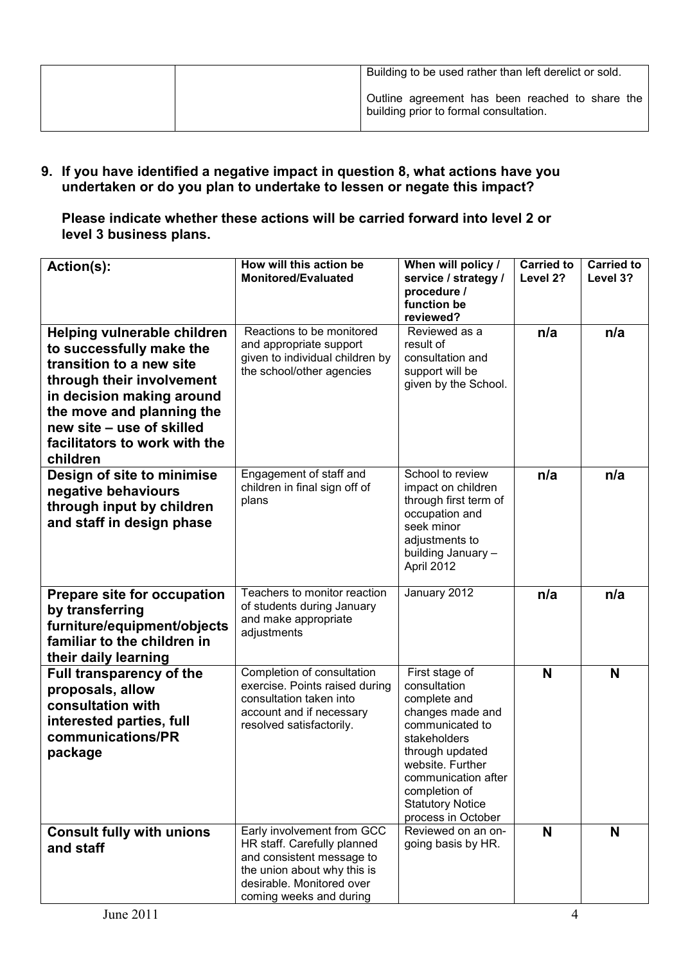| Building to be used rather than left derelict or sold.                                    |
|-------------------------------------------------------------------------------------------|
| Outline agreement has been reached to share the<br>building prior to formal consultation. |

9. If you have identified a negative impact in question 8, what actions have you undertaken or do you plan to undertake to lessen or negate this impact?

Please indicate whether these actions will be carried forward into level 2 or level 3 business plans.

| Action(s):                                                                                                                                                                                                                                           | How will this action be<br><b>Monitored/Evaluated</b>                                                                                                                         | When will policy /<br>service / strategy /<br>procedure /<br>function be<br>reviewed?                                                                                                                                                 | <b>Carried to</b><br>Level 2? | <b>Carried to</b><br>Level 3? |
|------------------------------------------------------------------------------------------------------------------------------------------------------------------------------------------------------------------------------------------------------|-------------------------------------------------------------------------------------------------------------------------------------------------------------------------------|---------------------------------------------------------------------------------------------------------------------------------------------------------------------------------------------------------------------------------------|-------------------------------|-------------------------------|
| Helping vulnerable children<br>to successfully make the<br>transition to a new site<br>through their involvement<br>in decision making around<br>the move and planning the<br>new site - use of skilled<br>facilitators to work with the<br>children | Reactions to be monitored<br>and appropriate support<br>given to individual children by<br>the school/other agencies                                                          | Reviewed as a<br>result of<br>consultation and<br>support will be<br>given by the School.                                                                                                                                             | n/a                           | n/a                           |
| Design of site to minimise<br>negative behaviours<br>through input by children<br>and staff in design phase                                                                                                                                          | Engagement of staff and<br>children in final sign off of<br>plans                                                                                                             | School to review<br>impact on children<br>through first term of<br>occupation and<br>seek minor<br>adjustments to<br>building January -<br>April 2012                                                                                 | n/a                           | n/a                           |
| Prepare site for occupation<br>by transferring<br>furniture/equipment/objects<br>familiar to the children in<br>their daily learning                                                                                                                 | Teachers to monitor reaction<br>of students during January<br>and make appropriate<br>adjustments                                                                             | January 2012                                                                                                                                                                                                                          | n/a                           | n/a                           |
| <b>Full transparency of the</b><br>proposals, allow<br>consultation with<br>interested parties, full<br>communications/PR<br>package                                                                                                                 | Completion of consultation<br>exercise. Points raised during<br>consultation taken into<br>account and if necessary<br>resolved satisfactorily.                               | First stage of<br>consultation<br>complete and<br>changes made and<br>communicated to<br>stakeholders<br>through updated<br>website. Further<br>communication after<br>completion of<br><b>Statutory Notice</b><br>process in October | N                             | N                             |
| <b>Consult fully with unions</b><br>and staff                                                                                                                                                                                                        | Early involvement from GCC<br>HR staff. Carefully planned<br>and consistent message to<br>the union about why this is<br>desirable. Monitored over<br>coming weeks and during | Reviewed on an on-<br>going basis by HR.                                                                                                                                                                                              | N                             | N                             |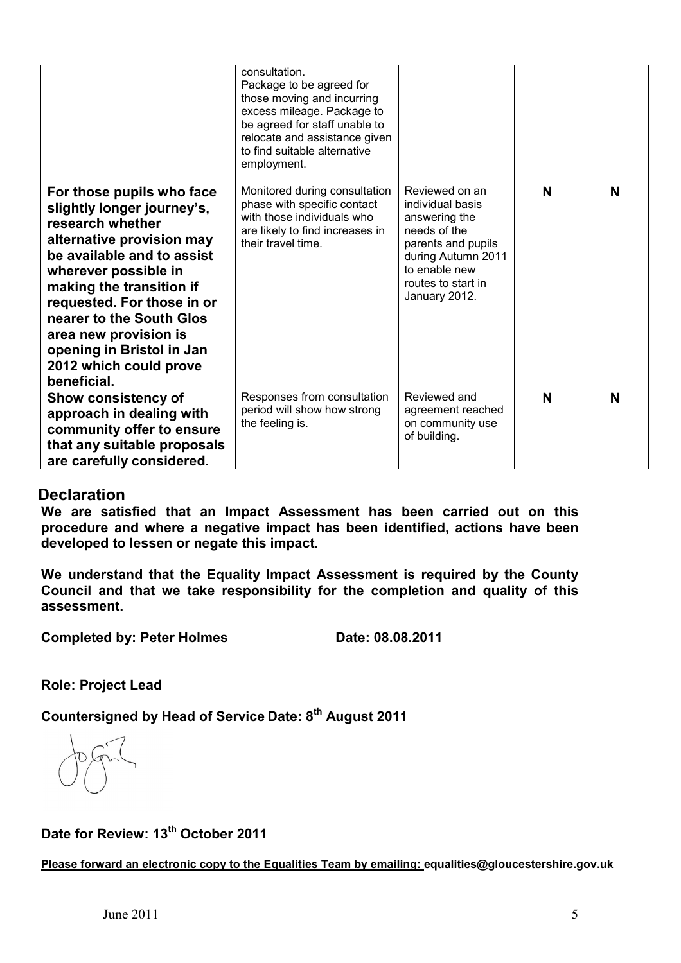|                                                                                                                                                                                                                                                                                                                                                     | consultation.<br>Package to be agreed for<br>those moving and incurring<br>excess mileage. Package to<br>be agreed for staff unable to<br>relocate and assistance given<br>to find suitable alternative<br>employment. |                                                                                                                                                                         |   |   |
|-----------------------------------------------------------------------------------------------------------------------------------------------------------------------------------------------------------------------------------------------------------------------------------------------------------------------------------------------------|------------------------------------------------------------------------------------------------------------------------------------------------------------------------------------------------------------------------|-------------------------------------------------------------------------------------------------------------------------------------------------------------------------|---|---|
| For those pupils who face<br>slightly longer journey's,<br>research whether<br>alternative provision may<br>be available and to assist<br>wherever possible in<br>making the transition if<br>requested. For those in or<br>nearer to the South Glos<br>area new provision is<br>opening in Bristol in Jan<br>2012 which could prove<br>beneficial. | Monitored during consultation<br>phase with specific contact<br>with those individuals who<br>are likely to find increases in<br>their travel time.                                                                    | Reviewed on an<br>individual basis<br>answering the<br>needs of the<br>parents and pupils<br>during Autumn 2011<br>to enable new<br>routes to start in<br>January 2012. | N | N |
| <b>Show consistency of</b><br>approach in dealing with<br>community offer to ensure<br>that any suitable proposals<br>are carefully considered.                                                                                                                                                                                                     | Responses from consultation<br>period will show how strong<br>the feeling is.                                                                                                                                          | Reviewed and<br>agreement reached<br>on community use<br>of building.                                                                                                   | N | N |

## **Declaration**

We are satisfied that an Impact Assessment has been carried out on this procedure and where a negative impact has been identified, actions have been developed to lessen or negate this impact.

We understand that the Equality Impact Assessment is required by the County Council and that we take responsibility for the completion and quality of this assessment.

Completed by: Peter Holmes Date: 08.08.2011

Role: Project Lead

Countersigned by Head of Service Date: 8<sup>th</sup> August 2011

Date for Review: 13<sup>th</sup> October 2011

Please forward an electronic copy to the Equalities Team by emailing: equalities@gloucestershire.gov.uk